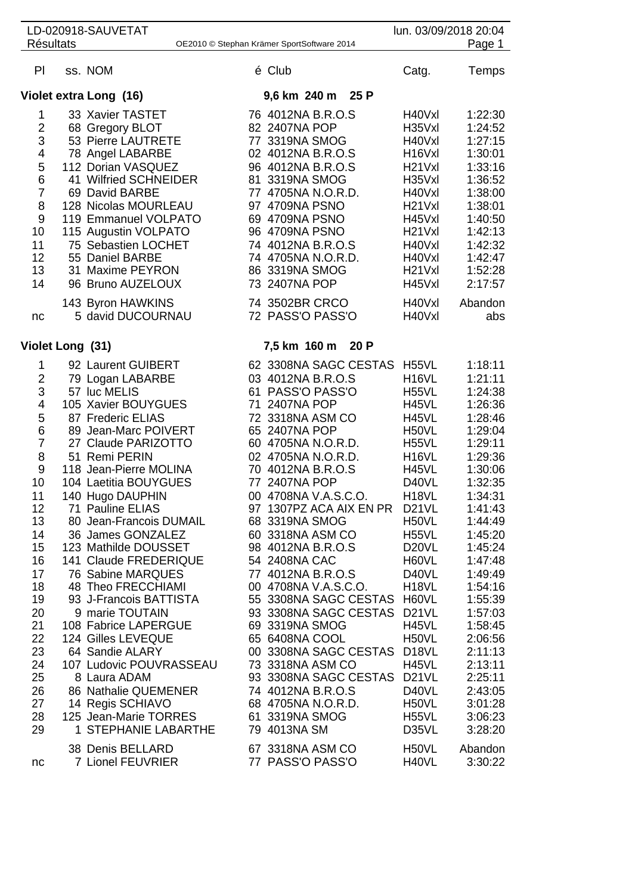| <b>Résultats</b> | LD-020918-SAUVETAT                          | OE2010 © Stephan Krämer SportSoftware 2014 | lun. 03/09/2018 20:04                     | Page 1             |
|------------------|---------------------------------------------|--------------------------------------------|-------------------------------------------|--------------------|
|                  |                                             |                                            |                                           |                    |
| PI               | ss. NOM                                     | é Club                                     | Catg.                                     | Temps              |
|                  | Violet extra Long (16)                      | 9,6 km 240 m 25 P                          |                                           |                    |
| 1                | 33 Xavier TASTET                            | 76 4012NA B.R.O.S                          | H40Vxl                                    | 1:22:30            |
| $\overline{2}$   | 68 Gregory BLOT                             | 82 2407NA POP                              | H35Vxl                                    | 1:24:52            |
| 3                | 53 Pierre LAUTRETE                          | 77 3319NA SMOG                             | H40Vxl                                    | 1:27:15            |
| 4                | 78 Angel LABARBE                            | 02 4012NA B.R.O.S                          | H <sub>16</sub> V <sub>xl</sub>           | 1:30:01            |
| 5<br>6           | 112 Dorian VASQUEZ<br>41 Wilfried SCHNEIDER | 96 4012NA B.R.O.S<br>81 3319NA SMOG        | H <sub>21</sub> V <sub>xl</sub><br>H35Vxl | 1:33:16<br>1:36:52 |
| $\overline{7}$   | 69 David BARBE                              | 77 4705NA N.O.R.D.                         | H40Vxl                                    | 1:38:00            |
| 8                | 128 Nicolas MOURLEAU                        | 97 4709NA PSNO                             | H <sub>21</sub> V <sub>xl</sub>           | 1:38:01            |
| 9                | 119 Emmanuel VOLPATO                        | 69 4709NA PSNO                             | H45Vxl                                    | 1:40:50            |
| 10               | 115 Augustin VOLPATO                        | 96 4709NA PSNO                             | H <sub>21</sub> V <sub>xl</sub>           | 1:42:13            |
| 11               | 75 Sebastien LOCHET                         | 74 4012NA B.R.O.S                          | H40Vxl                                    | 1:42:32            |
| 12               | 55 Daniel BARBE                             | 74 4705NA N.O.R.D.                         | H40Vxl                                    | 1:42:47            |
| 13               | 31 Maxime PEYRON                            | 86 3319NA SMOG                             | H <sub>21</sub> V <sub>xl</sub>           | 1:52:28            |
| 14               | 96 Bruno AUZELOUX                           | 73 2407NA POP                              | H45Vxl                                    | 2:17:57            |
|                  | 143 Byron HAWKINS                           | 74 3502BR CRCO                             | H40Vxl                                    | Abandon            |
| nc               | 5 david DUCOURNAU                           | 72 PASS'O PASS'O                           | H40Vxl                                    | abs                |
| Violet Long (31) |                                             | 7,5 km 160 m 20 P                          |                                           |                    |
| 1                | 92 Laurent GUIBERT                          | 62 3308NA SAGC CESTAS                      | H <sub>55</sub> VL                        | 1:18:11            |
| $\overline{c}$   | 79 Logan LABARBE                            | 03 4012NA B.R.O.S                          | H <sub>16</sub> VL                        | 1:21:11            |
| 3                | 57 luc MELIS                                | 61 PASS'O PASS'O                           | H <sub>55</sub> VL                        | 1:24:38            |
| 4                | 105 Xavier BOUYGUES                         | 71 2407NA POP                              | H45VL                                     | 1:26:36            |
| 5                | 87 Frederic ELIAS                           | 72 3318NA ASM CO                           | H45VL                                     | 1:28:46            |
| 6                | 89 Jean-Marc POIVERT                        | 65 2407NA POP                              | H50VL                                     | 1:29:04            |
| $\overline{7}$   | 27 Claude PARIZOTTO                         | 60 4705NA N.O.R.D.                         | H <sub>55</sub> VL                        | 1:29:11            |
| 8                | 51 Remi PERIN                               | 02 4705NA N.O.R.D.                         | H <sub>16</sub> VL                        | 1:29:36            |
| 9                | 118 Jean-Pierre MOLINA                      | 70 4012NA B.R.O.S<br>77 2407NA POP         | <b>H45VL</b><br>D40VL                     | 1:30:06            |
| 10<br>11         | 104 Laetitia BOUYGUES                       | 00 4708NA V.A.S.C.O.                       | H <sub>18</sub> VL                        | 1:32:35<br>1:34:31 |
| 12               | 140 Hugo DAUPHIN<br>71 Pauline ELIAS        | 97 1307PZ ACA AIX EN PR                    | D <sub>21</sub> VL                        | 1:41:43            |
| 13               | 80 Jean-Francois DUMAIL                     | 68 3319NA SMOG                             | H50VL                                     | 1:44:49            |
| 14               | 36 James GONZALEZ                           | 60 3318NA ASM CO                           | H <sub>55</sub> VL                        | 1:45:20            |
| 15               | 123 Mathilde DOUSSET                        | 98 4012NA B.R.O.S                          | D <sub>20</sub> VL                        | 1:45:24            |
| 16               | 141 Claude FREDERIQUE                       | 54 2408NA CAC                              | H60VL                                     | 1:47:48            |
| 17               | 76 Sabine MARQUES                           | 77 4012NA B.R.O.S                          | D40VL                                     | 1:49:49            |
| 18               | 48 Theo FRECCHIAMI                          | 00 4708NA V.A.S.C.O.                       | H <sub>18</sub> VL                        | 1:54:16            |
| 19               | 93 J-Francois BATTISTA                      | 55 3308NA SAGC CESTAS H60VL                |                                           | 1:55:39            |
| 20               | 9 marie TOUTAIN                             | 93 3308NA SAGC CESTAS D21VL                |                                           | 1:57:03            |
| 21<br>22         | 108 Fabrice LAPERGUE<br>124 Gilles LEVEQUE  | 69 3319NA SMOG<br>65 6408NA COOL           | H45VL<br>H50VL                            | 1:58:45<br>2:06:56 |
| 23               | 64 Sandie ALARY                             | 00 3308NA SAGC CESTAS D18VL                |                                           | 2:11:13            |
| 24               | 107 Ludovic POUVRASSEAU                     | 73 3318NA ASM CO                           | H45VL                                     | 2:13:11            |
| 25               | 8 Laura ADAM                                | 93 3308NA SAGC CESTAS                      | D <sub>21</sub> VL                        | 2:25:11            |
| 26               | 86 Nathalie QUEMENER                        | 74 4012NA B.R.O.S                          | D40VL                                     | 2:43:05            |
| 27               | 14 Regis SCHIAVO                            | 68 4705NA N.O.R.D.                         | H50VL                                     | 3:01:28            |
| 28               | 125 Jean-Marie TORRES                       | 61 3319NA SMOG                             | H <sub>55</sub> VL                        | 3:06:23            |
| 29               | 1 STEPHANIE LABARTHE                        | 79 4013NA SM                               | D35VL                                     | 3:28:20            |
| nc               | 38 Denis BELLARD<br>7 Lionel FEUVRIER       | 67 3318NA ASM CO<br>77 PASS'O PASS'O       | H <sub>50</sub> VL<br>H40VL               | Abandon<br>3:30:22 |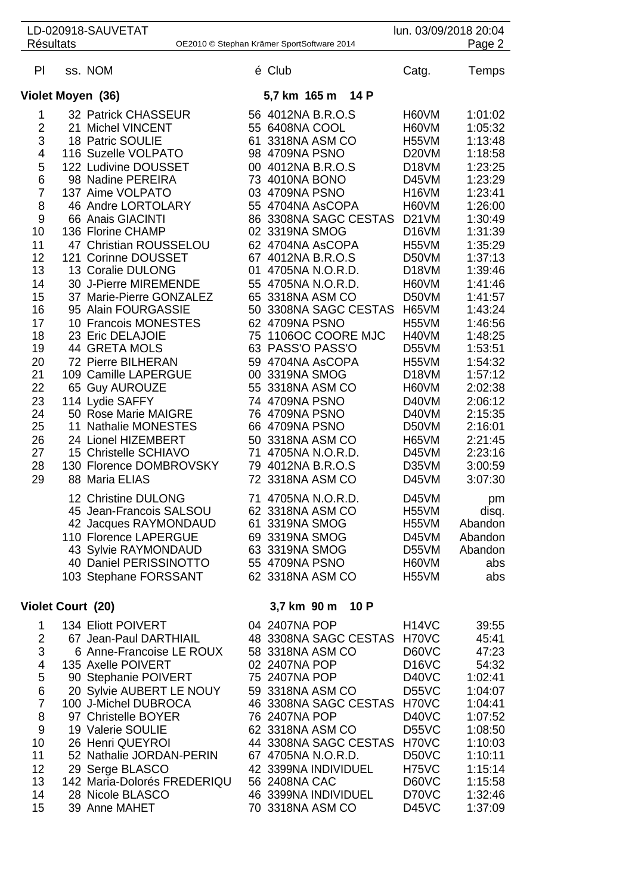|                          | LD-020918-SAUVETAT                         |                                            |                  |      |                             | lun. 03/09/2018 20:04 |
|--------------------------|--------------------------------------------|--------------------------------------------|------------------|------|-----------------------------|-----------------------|
| <b>Résultats</b>         | OE2010 © Stephan Krämer SportSoftware 2014 |                                            |                  |      |                             | Page 2                |
| PI                       | ss. NOM                                    | é Club                                     |                  |      | Catg.                       | Temps                 |
|                          | Violet Moyen (36)                          | 5,7 km 165 m                               |                  | 14 P |                             |                       |
| 1                        | 32 Patrick CHASSEUR                        | 56 4012NA B.R.O.S                          |                  |      | H60VM                       | 1:01:02               |
| $\overline{\mathbf{c}}$  | 21 Michel VINCENT                          | 55 6408NA COOL                             |                  |      | H60VM                       | 1:05:32               |
| 3                        | 18 Patric SOULIE                           | 61 3318NA ASM CO                           |                  |      | H <sub>55</sub> VM          | 1:13:48               |
| 4                        | 116 Suzelle VOLPATO                        | 98 4709NA PSNO                             |                  |      | D <sub>20</sub> VM          | 1:18:58               |
| 5                        | 122 Ludivine DOUSSET                       | 00 4012NA B.R.O.S                          |                  |      | D <sub>18</sub> VM          | 1:23:25               |
| 6                        | 98 Nadine PEREIRA                          | 73 4010NA BONO                             |                  |      | D45VM                       | 1:23:29               |
| $\overline{7}$           | 137 Aime VOLPATO                           | 03 4709NA PSNO                             |                  |      | H <sub>16</sub> VM          | 1:23:41               |
| 8                        | 46 Andre LORTOLARY                         | 55 4704NA AsCOPA                           |                  |      | H60VM                       | 1:26:00               |
| 9                        | 66 Anais GIACINTI                          | 86 3308NA SAGC CESTAS                      |                  |      | D <sub>21</sub> VM          | 1:30:49               |
| 10                       | 136 Florine CHAMP                          | 02 3319NA SMOG                             |                  |      | D <sub>16</sub> VM          | 1:31:39               |
| 11                       | 47 Christian ROUSSELOU                     | 62 4704NA AsCOPA                           |                  |      | <b>H55VM</b>                | 1:35:29               |
| 12<br>13                 | 121 Corinne DOUSSET<br>13 Coralie DULONG   | 67 4012NA B.R.O.S<br>01<br>4705NA N.O.R.D. |                  |      | D50VM<br>D <sub>18</sub> VM | 1:37:13<br>1:39:46    |
| 14                       | 30 J-Pierre MIREMENDE                      | 55 4705NA N.O.R.D.                         |                  |      | H60VM                       | 1:41:46               |
| 15                       | 37 Marie-Pierre GONZALEZ                   | 65 3318NA ASM CO                           |                  |      | D50VM                       | 1:41:57               |
| 16                       | 95 Alain FOURGASSIE                        | 50 3308NA SAGC CESTAS                      |                  |      | H65VM                       | 1:43:24               |
| 17                       | 10 Francois MONESTES                       | 62 4709NA PSNO                             |                  |      | H <sub>55</sub> VM          | 1:46:56               |
| 18                       | 23 Eric DELAJOIE                           | 75 1106OC COORE MJC                        |                  |      | H40VM                       | 1:48:25               |
| 19                       | <b>44 GRETA MOLS</b>                       | 63 PASS'O PASS'O                           |                  |      | D55VM                       | 1:53:51               |
| 20                       | 72 Pierre BILHERAN                         | 59 4704NA AsCOPA                           |                  |      | H55VM                       | 1:54:32               |
| 21                       | 109 Camille LAPERGUE                       | 00 3319NA SMOG                             |                  |      | D <sub>18</sub> VM          | 1:57:12               |
| 22                       | 65 Guy AUROUZE                             | 55 3318NA ASM CO                           |                  |      | H60VM                       | 2:02:38               |
| 23                       | 114 Lydie SAFFY                            | 74 4709NA PSNO                             |                  |      | D40VM                       | 2:06:12               |
| 24                       | 50 Rose Marie MAIGRE                       | 76 4709NA PSNO                             |                  |      | D40VM                       | 2:15:35               |
| 25                       | 11 Nathalie MONESTES                       | 66 4709NA PSNO                             |                  |      | D50VM                       | 2:16:01               |
| 26                       | 24 Lionel HIZEMBERT                        | 50 3318NA ASM CO                           |                  |      | H65VM                       | 2:21:45               |
| 27                       | 15 Christelle SCHIAVO                      | 71 4705NA N.O.R.D.                         |                  |      | D45VM                       | 2:23:16               |
| 28                       | 130 Florence DOMBROVSKY                    | 79 4012NA B.R.O.S                          |                  |      | D35VM                       | 3:00:59               |
| 29                       | 88 Maria ELIAS                             | 72 3318NA ASM CO                           |                  |      | D45VM                       | 3:07:30               |
|                          | 12 Christine DULONG                        | 71 4705NA N.O.R.D.                         |                  |      | D45VM                       | pm                    |
|                          | 45 Jean-Francois SALSOU                    | 62 3318NA ASM CO                           |                  |      | H <sub>55</sub> VM          | disq.                 |
|                          | 42 Jacques RAYMONDAUD                      | 61 3319NA SMOG                             |                  |      | H <sub>55</sub> VM          | Abandon               |
|                          | 110 Florence LAPERGUE                      | 69 3319NA SMOG                             |                  |      | D45VM                       | Abandon               |
|                          | 43 Sylvie RAYMONDAUD                       | 63 3319NA SMOG                             |                  |      | D55VM                       | Abandon               |
|                          | 40 Daniel PERISSINOTTO                     | 55 4709NA PSNO                             |                  |      | H60VM                       | abs                   |
|                          | 103 Stephane FORSSANT                      | 62 3318NA ASM CO                           |                  |      | H55VM                       | abs                   |
| <b>Violet Court (20)</b> |                                            |                                            | 3,7 km 90 m 10 P |      |                             |                       |
| 1                        | 134 Eliott POIVERT                         | 04 2407NA POP                              |                  |      | H <sub>14</sub> VC          | 39:55                 |
| $\overline{2}$           | 67 Jean-Paul DARTHIAIL                     | 48 3308NA SAGC CESTAS H70VC                |                  |      |                             | 45:41                 |
| 3                        | 6 Anne-Francoise LE ROUX                   | 58 3318NA ASM CO                           |                  |      | D60VC                       | 47:23                 |
| 4                        | 135 Axelle POIVERT                         | 02 2407NA POP                              |                  |      | D <sub>16</sub> VC          | 54:32                 |
| 5                        | 90 Stephanie POIVERT                       | 75 2407NA POP                              |                  |      | D40VC                       | 1:02:41               |
| $6\phantom{1}6$          | 20 Sylvie AUBERT LE NOUY                   | 59 3318NA ASM CO                           |                  |      | D <sub>55</sub> VC          | 1:04:07               |
| $\overline{7}$           | 100 J-Michel DUBROCA                       | 46 3308NA SAGC CESTAS                      |                  |      | H70VC                       | 1:04:41               |
| 8                        | 97 Christelle BOYER                        | 76 2407NA POP                              |                  |      | D40VC                       | 1:07:52               |
| $\overline{9}$           | 19 Valerie SOULIE                          | 62 3318NA ASM CO                           |                  |      | D <sub>55</sub> VC          | 1:08:50               |
| 10                       | 26 Henri QUEYROI                           | 44 3308NA SAGC CESTAS                      |                  |      | H70VC                       | 1:10:03               |
| 11                       | 52 Nathalie JORDAN-PERIN                   | 67 4705NA N.O.R.D.                         |                  |      | D50VC                       | 1:10:11               |
| 12                       | 29 Serge BLASCO                            | 42 3399NA INDIVIDUEL                       |                  |      | H75VC                       | 1:15:14               |
| 13                       | 142 Maria-Dolorés FREDERIQU                | 56 2408NA CAC                              |                  |      | D60VC                       | 1:15:58               |
| 14                       | 28 Nicole BLASCO                           | 46 3399NA INDIVIDUEL                       |                  |      | D70VC                       | 1:32:46               |
| 15                       | 39 Anne MAHET                              | 70 3318NA ASM CO                           |                  |      | D45VC                       | 1:37:09               |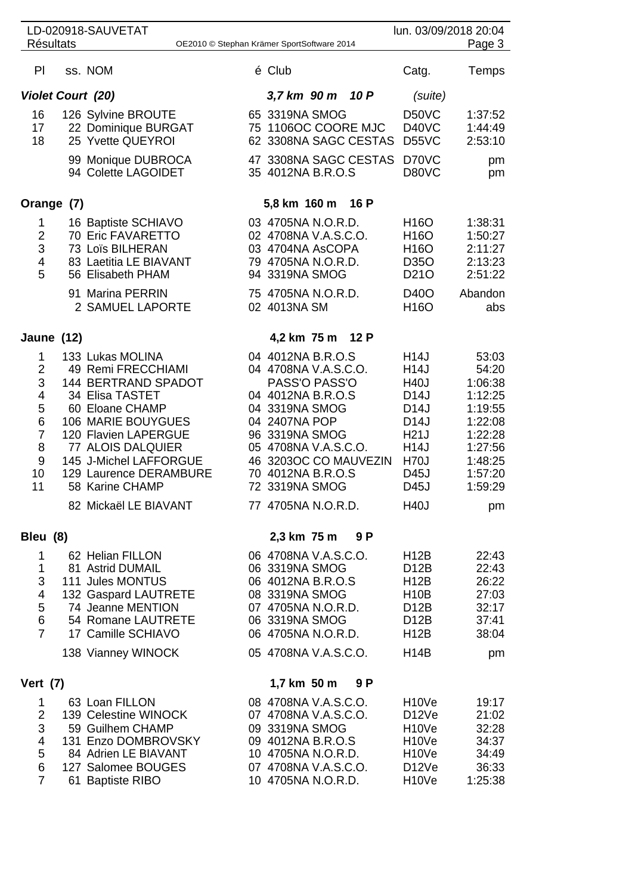|                                                                                 |  | LD-020918-SAUVETAT                                                                                                                                                                                                                                                            |  |                                                                                                                                                                                                                           |      |                                                | lun. 03/09/2018 20:04                                                                                                                                           |                                                                                                                         |
|---------------------------------------------------------------------------------|--|-------------------------------------------------------------------------------------------------------------------------------------------------------------------------------------------------------------------------------------------------------------------------------|--|---------------------------------------------------------------------------------------------------------------------------------------------------------------------------------------------------------------------------|------|------------------------------------------------|-----------------------------------------------------------------------------------------------------------------------------------------------------------------|-------------------------------------------------------------------------------------------------------------------------|
| <b>Résultats</b><br>Page 3<br>OE2010 © Stephan Krämer SportSoftware 2014        |  |                                                                                                                                                                                                                                                                               |  |                                                                                                                                                                                                                           |      |                                                |                                                                                                                                                                 |                                                                                                                         |
| PI                                                                              |  | ss. NOM                                                                                                                                                                                                                                                                       |  | é Club                                                                                                                                                                                                                    |      |                                                | Catg.                                                                                                                                                           | Temps                                                                                                                   |
| <b>Violet Court (20)</b><br>3,7 km 90 m                                         |  |                                                                                                                                                                                                                                                                               |  |                                                                                                                                                                                                                           | 10 P | (suite)                                        |                                                                                                                                                                 |                                                                                                                         |
| 16<br>17<br>18                                                                  |  | 126 Sylvine BROUTE<br>22 Dominique BURGAT<br>25 Yvette QUEYROI<br>99 Monique DUBROCA<br>94 Colette LAGOIDET                                                                                                                                                                   |  | 65 3319NA SMOG<br>75 1106OC COORE MJC<br>35 4012NA B.R.O.S                                                                                                                                                                |      | 62 3308NA SAGC CESTAS<br>47 3308NA SAGC CESTAS | D50VC<br>D40VC<br>D55VC<br>D70VC<br>D80VC                                                                                                                       | 1:37:52<br>1:44:49<br>2:53:10<br>pm<br>pm                                                                               |
| Orange (7)                                                                      |  |                                                                                                                                                                                                                                                                               |  | 5,8 km 160 m                                                                                                                                                                                                              |      | 16 P                                           |                                                                                                                                                                 |                                                                                                                         |
| 1<br>$\overline{2}$<br>3<br>4<br>5                                              |  | 16 Baptiste SCHIAVO<br>70 Eric FAVARETTO<br>73 Loïs BILHERAN<br>83 Laetitia LE BIAVANT<br>56 Elisabeth PHAM<br>91 Marina PERRIN<br>2 SAMUEL LAPORTE                                                                                                                           |  | 03 4705NA N.O.R.D.<br>02 4708NA V.A.S.C.O.<br>03 4704NA AsCOPA<br>79 4705NA N.O.R.D.<br>94 3319NA SMOG<br>75 4705NA N.O.R.D.<br>02 4013NA SM                                                                              |      |                                                | H <sub>16</sub> O<br>H <sub>16</sub> O<br>H <sub>16</sub> O<br>D350<br>D <sub>21</sub> O<br>D40O<br>H <sub>16</sub> O                                           | 1:38:31<br>1:50:27<br>2:11:27<br>2:13:23<br>2:51:22<br>Abandon<br>abs                                                   |
| Jaune (12)                                                                      |  |                                                                                                                                                                                                                                                                               |  | 4,2 km 75 m                                                                                                                                                                                                               |      | 12 P                                           |                                                                                                                                                                 |                                                                                                                         |
| 1<br>$\overline{2}$<br>3<br>4<br>5<br>6<br>$\overline{7}$<br>8<br>9<br>10<br>11 |  | 133 Lukas MOLINA<br>49 Remi FRECCHIAMI<br><b>144 BERTRAND SPADOT</b><br>34 Elisa TASTET<br>60 Eloane CHAMP<br>106 MARIE BOUYGUES<br>120 Flavien LAPERGUE<br>77 ALOIS DALQUIER<br>145 J-Michel LAFFORGUE<br>129 Laurence DERAMBURE<br>58 Karine CHAMP<br>82 Mickaël LE BIAVANT |  | 04 4012NA B.R.O.S<br>04 4708NA V.A.S.C.O.<br>PASS'O PASS'O<br>04 4012NA B.R.O.S<br>04 3319NA SMOG<br>04 2407NA POP<br>96 3319NA SMOG<br>05 4708NA V.A.S.C.O.<br>70 4012NA B.R.O.S<br>72 3319NA SMOG<br>77 4705NA N.O.R.D. |      | 46 3203OC CO MAUVEZIN                          | H14J<br>H14J<br><b>H40J</b><br>D <sub>14</sub> J<br>D <sub>14</sub> J<br>D <sub>14</sub> J<br>H21J<br><b>H14J</b><br><b>H70J</b><br>D45J<br>D45J<br><b>H40J</b> | 53:03<br>54:20<br>1:06:38<br>1:12:25<br>1:19:55<br>1:22:08<br>1:22:28<br>1:27:56<br>1:48:25<br>1:57:20<br>1:59:29<br>pm |
| Bleu (8)<br>2,3 km 75 m<br>9 P                                                  |  |                                                                                                                                                                                                                                                                               |  |                                                                                                                                                                                                                           |      |                                                |                                                                                                                                                                 |                                                                                                                         |
| 1<br>1<br>3<br>4<br>5<br>$\,$ 6 $\,$<br>$\overline{7}$                          |  | 62 Helian FILLON<br>81 Astrid DUMAIL<br>111 Jules MONTUS<br>132 Gaspard LAUTRETE<br>74 Jeanne MENTION<br>54 Romane LAUTRETE<br>17 Camille SCHIAVO                                                                                                                             |  | 06 4708NA V.A.S.C.O.<br>06 3319NA SMOG<br>06 4012NA B.R.O.S<br>08 3319NA SMOG<br>07 4705NA N.O.R.D.<br>06 3319NA SMOG<br>06 4705NA N.O.R.D.                                                                               |      |                                                | <b>H12B</b><br>D <sub>12</sub> B<br><b>H12B</b><br><b>H10B</b><br>D <sub>12</sub> B<br>D <sub>12</sub> B<br><b>H12B</b>                                         | 22:43<br>22:43<br>26:22<br>27:03<br>32:17<br>37:41<br>38:04                                                             |
|                                                                                 |  | 138 Vianney WINOCK                                                                                                                                                                                                                                                            |  | 05 4708NA V.A.S.C.O.                                                                                                                                                                                                      |      |                                                | <b>H14B</b>                                                                                                                                                     | pm                                                                                                                      |
| <b>Vert (7)</b>                                                                 |  |                                                                                                                                                                                                                                                                               |  | 1,7 km 50 m                                                                                                                                                                                                               |      | 9 P                                            |                                                                                                                                                                 |                                                                                                                         |
| 1<br>$\overline{2}$<br>3<br>4<br>5<br>6<br>$\overline{7}$                       |  | 63 Loan FILLON<br>139 Celestine WINOCK<br>59 Guilhem CHAMP<br>131 Enzo DOMBROVSKY<br>84 Adrien LE BIAVANT<br>127 Salomee BOUGES<br>61 Baptiste RIBO                                                                                                                           |  | 08 4708NA V.A.S.C.O.<br>07 4708NA V.A.S.C.O.<br>09 3319NA SMOG<br>09 4012NA B.R.O.S<br>10 4705NA N.O.R.D.<br>07 4708NA V.A.S.C.O.<br>10 4705NA N.O.R.D.                                                                   |      |                                                | H <sub>10</sub> Ve<br>D <sub>12</sub> Ve<br>H <sub>10</sub> Ve<br>H <sub>10</sub> Ve<br>H <sub>10</sub> Ve<br>D <sub>12</sub> Ve<br>H <sub>10</sub> Ve          | 19:17<br>21:02<br>32:28<br>34:37<br>34:49<br>36:33<br>1:25:38                                                           |